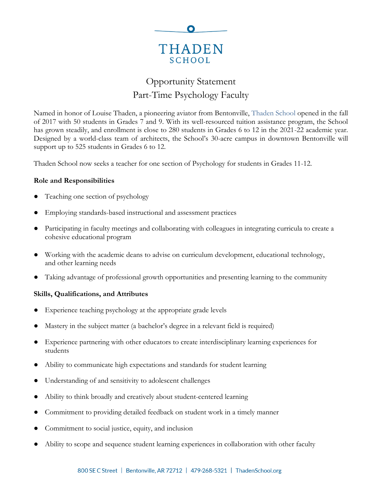

# Opportunity Statement Part-Time Psychology Faculty

Named in honor of Louise Thaden, a pioneering aviator from Bentonville, [Thaden School](https://thadenschool.org/) opened in the fall of 2017 with 50 students in Grades 7 and 9. With its well-resourced tuition assistance program, the School has grown steadily, and enrollment is close to 280 students in Grades 6 to 12 in the 2021-22 academic year. Designed by a world-class team of architects, the School's 30-acre campus in downtown Bentonville will support up to 525 students in Grades 6 to 12.

Thaden School now seeks a teacher for one section of Psychology for students in Grades 11-12.

#### **Role and Responsibilities**

- Teaching one section of psychology
- Employing standards-based instructional and assessment practices
- Participating in faculty meetings and collaborating with colleagues in integrating curricula to create a cohesive educational program
- Working with the academic deans to advise on curriculum development, educational technology, and other learning needs
- Taking advantage of professional growth opportunities and presenting learning to the community

#### **Skills, Qualifications, and Attributes**

- Experience teaching psychology at the appropriate grade levels
- Mastery in the subject matter (a bachelor's degree in a relevant field is required)
- Experience partnering with other educators to create interdisciplinary learning experiences for students
- Ability to communicate high expectations and standards for student learning
- Understanding of and sensitivity to adolescent challenges
- Ability to think broadly and creatively about student-centered learning
- Commitment to providing detailed feedback on student work in a timely manner
- Commitment to social justice, equity, and inclusion
- Ability to scope and sequence student learning experiences in collaboration with other faculty